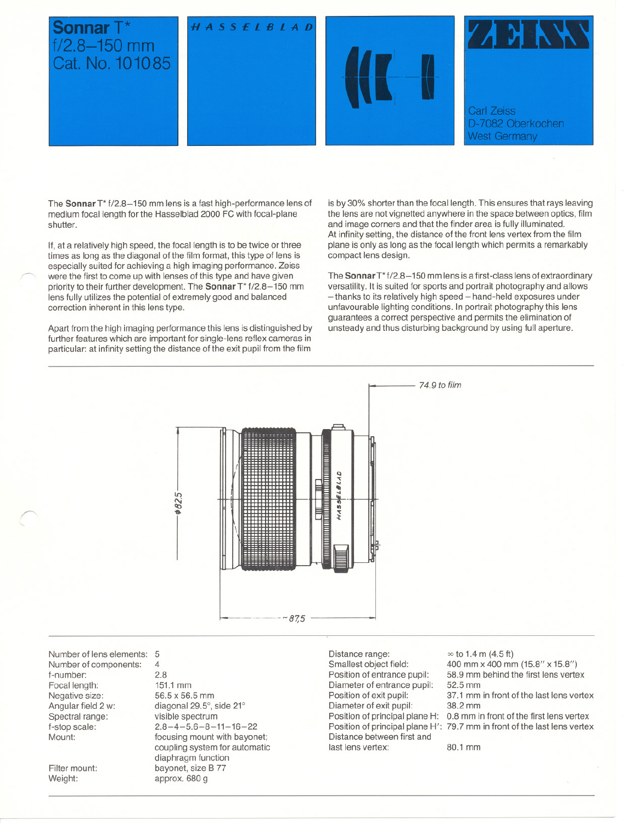

The **Sonnar** T<sup>\*</sup> f/2.8-150 mm lens is a fast high-performance lens of medium focal length for the Hasselblad 2000 FC with focal-plane shutter.

If, at a relatively high speed, the focal length is to be twice or three times as long as the diagonal of the film format, this type of lens is especially suited for achieving a high imaging performance. Zeiss were the first to come up with lenses of this type and have given priority to their further development. The **Sonnar** T\* f/2.8-150 mm lens fully utilizes the potential of extremely good and balanced correction inherent in this lens type.

Apart from the high imaging performance this lens is distinguished by further features which are important for single-lens reflex cameras in particular: at infinity setting the distance of the exit pupil from the film is by 30% shorter than the focal length. This ensures that rays leaving the lens are not vignetted anywhere in the space between optics, film and image corners and that the finder area is fully illuminated. At infinity setting, the distance of the front lens vertex from the film plane is only as long as the focal length which permits a remarkably compact lens design.

The Sonnar T\*f/2.8-150 mm lens is a first-class lens of extraordinary versatility. It is suited for sports and portrait photography and allows - thanks to its relatively high speed - hand-held exposures under unfavourable lighting conditions. In portrait photography this jens guarantees a correct perspective and permits the elimination of unsteady and thus disturbing background by using full aperture.



Number of lens elements: 5 Number of components: f-number: Focal length: Negative size: Angular field 2 w: Spectral range: f-stop scale: Mount:

Filter mount: Weight:

"

4 2.8 151.1 mm 56.5 x 56.5 mm diagonal 29.5°, side 21° visible spectrum  $2.8 - 4 - 5.6 - 8 - 11 - 16 - 22$ focusing mount with bayonet; coupling system for automatic diaphragm function bayonet, size B 77 approx. 680 g

Distance range: Smallest object field: Position of entrance pupil: Diameter of entrance pupil: Position of exit pupil: Diameter of exit pupil: Position of principal plane H: Distance between first and last lens vertex:

Position of principal plane H' $\,$  79.7 mm in front of the last lens vertex  $\infty$  to 1.4 m (4.5 ft) 400 mm x 400 mm (15.8" x 15.8") 58.9 mm behind the first lens vertex 52.5 mm 37.1 mm in front of the last lens vertex 38.2 mm 0.8 mm in front of the first lens vertex

80.1 mm